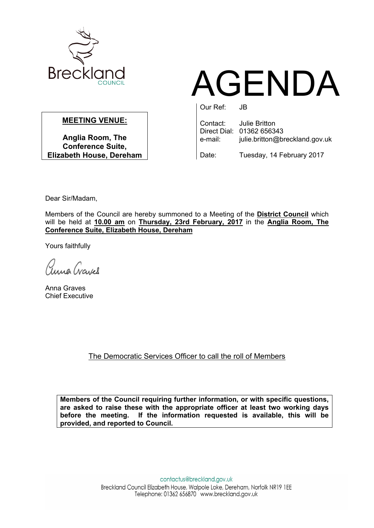

## AGENDA

## **MEETING VENUE:**

**Anglia Room, The Conference Suite, Elizabeth House, Dereham** Our Ref: JB

Contact: Julie Britton Direct Dial: 01362 656343 e-mail: julie.britton@breckland.gov.uk

Date: Tuesday, 14 February 2017

Dear Sir/Madam,

Members of the Council are hereby summoned to a Meeting of the **District Council** which will be held at **10.00 am** on **Thursday, 23rd February, 2017** in the **Anglia Room, The Conference Suite, Elizabeth House, Dereham**

Yours faithfully

auna Crayes

Anna Graves Chief Executive

The Democratic Services Officer to call the roll of Members

**Members of the Council requiring further information, or with specific questions, are asked to raise these with the appropriate officer at least two working days before the meeting. If the information requested is available, this will be provided, and reported to Council.**

> contactus@breckland.gov.uk Breckland Council Elizabeth House, Walpole Loke, Dereham, Norfolk NR19 1EE Telephone: 01362 656870 www.breckland.gov.uk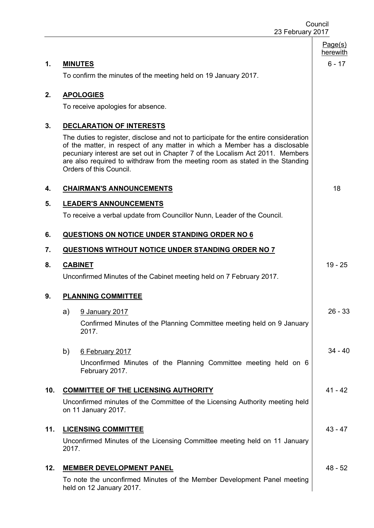|     | Council<br>23 February 2017 |                                                                                                                                                                                                                                                                                                                                                                  |                     |
|-----|-----------------------------|------------------------------------------------------------------------------------------------------------------------------------------------------------------------------------------------------------------------------------------------------------------------------------------------------------------------------------------------------------------|---------------------|
|     |                             |                                                                                                                                                                                                                                                                                                                                                                  | Page(s)<br>herewith |
| 1.  |                             | <b>MINUTES</b>                                                                                                                                                                                                                                                                                                                                                   | $6 - 17$            |
|     |                             | To confirm the minutes of the meeting held on 19 January 2017.                                                                                                                                                                                                                                                                                                   |                     |
| 2.  |                             | <b>APOLOGIES</b>                                                                                                                                                                                                                                                                                                                                                 |                     |
|     |                             | To receive apologies for absence.                                                                                                                                                                                                                                                                                                                                |                     |
| 3.  |                             | <b>DECLARATION OF INTERESTS</b>                                                                                                                                                                                                                                                                                                                                  |                     |
|     |                             | The duties to register, disclose and not to participate for the entire consideration<br>of the matter, in respect of any matter in which a Member has a disclosable<br>pecuniary interest are set out in Chapter 7 of the Localism Act 2011. Members<br>are also required to withdraw from the meeting room as stated in the Standing<br>Orders of this Council. |                     |
| 4.  |                             | <b>CHAIRMAN'S ANNOUNCEMENTS</b>                                                                                                                                                                                                                                                                                                                                  | 18                  |
| 5.  |                             | <b>LEADER'S ANNOUNCEMENTS</b>                                                                                                                                                                                                                                                                                                                                    |                     |
|     |                             | To receive a verbal update from Councillor Nunn, Leader of the Council.                                                                                                                                                                                                                                                                                          |                     |
| 6.  |                             | <b>QUESTIONS ON NOTICE UNDER STANDING ORDER NO 6</b>                                                                                                                                                                                                                                                                                                             |                     |
| 7.  |                             | QUESTIONS WITHOUT NOTICE UNDER STANDING ORDER NO 7                                                                                                                                                                                                                                                                                                               |                     |
| 8.  |                             | <b>CABINET</b>                                                                                                                                                                                                                                                                                                                                                   | $19 - 25$           |
|     |                             | Unconfirmed Minutes of the Cabinet meeting held on 7 February 2017.                                                                                                                                                                                                                                                                                              |                     |
| 9.  |                             | <b>PLANNING COMMITTEE</b>                                                                                                                                                                                                                                                                                                                                        |                     |
|     | a)                          | 9 January 2017                                                                                                                                                                                                                                                                                                                                                   | $26 - 33$           |
|     |                             | Confirmed Minutes of the Planning Committee meeting held on 9 January<br>2017.                                                                                                                                                                                                                                                                                   |                     |
|     | b)                          | 6 February 2017                                                                                                                                                                                                                                                                                                                                                  | $34 - 40$           |
|     |                             | Unconfirmed Minutes of the Planning Committee meeting held on 6<br>February 2017.                                                                                                                                                                                                                                                                                |                     |
| 10. |                             | <b>COMMITTEE OF THE LICENSING AUTHORITY</b>                                                                                                                                                                                                                                                                                                                      | $41 - 42$           |
|     |                             | Unconfirmed minutes of the Committee of the Licensing Authority meeting held<br>on 11 January 2017.                                                                                                                                                                                                                                                              |                     |
| 11. |                             | <b>LICENSING COMMITTEE</b>                                                                                                                                                                                                                                                                                                                                       | $43 - 47$           |
|     | 2017.                       | Unconfirmed Minutes of the Licensing Committee meeting held on 11 January                                                                                                                                                                                                                                                                                        |                     |
| 12. |                             | <b>MEMBER DEVELOPMENT PANEL</b>                                                                                                                                                                                                                                                                                                                                  | $48 - 52$           |
|     |                             | To note the unconfirmed Minutes of the Member Development Panel meeting<br>held on 12 January 2017.                                                                                                                                                                                                                                                              |                     |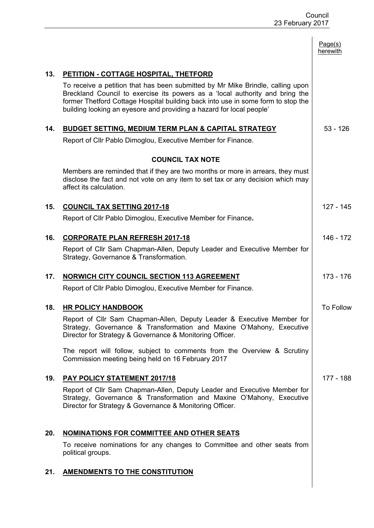|     |                                                                                                                                                                                                                                                                                             | Page(s)<br>herewith |
|-----|---------------------------------------------------------------------------------------------------------------------------------------------------------------------------------------------------------------------------------------------------------------------------------------------|---------------------|
| 13. | PETITION - COTTAGE HOSPITAL, THETFORD<br>To receive a petition that has been submitted by Mr Mike Brindle, calling upon<br>Breckland Council to exercise its powers as a 'local authority and bring the<br>former Thetford Cottage Hospital building back into use in some form to stop the |                     |
| 14. | building looking an eyesore and providing a hazard for local people'<br><b>BUDGET SETTING, MEDIUM TERM PLAN &amp; CAPITAL STRATEGY</b>                                                                                                                                                      | $53 - 126$          |
|     | Report of Cllr Pablo Dimoglou, Executive Member for Finance.                                                                                                                                                                                                                                |                     |
|     | <b>COUNCIL TAX NOTE</b>                                                                                                                                                                                                                                                                     |                     |
|     | Members are reminded that if they are two months or more in arrears, they must<br>disclose the fact and not vote on any item to set tax or any decision which may<br>affect its calculation.                                                                                                |                     |
| 15. | <b>COUNCIL TAX SETTING 2017-18</b>                                                                                                                                                                                                                                                          | 127 - 145           |
|     | Report of Cllr Pablo Dimoglou, Executive Member for Finance.                                                                                                                                                                                                                                |                     |
| 16. | <b>CORPORATE PLAN REFRESH 2017-18</b>                                                                                                                                                                                                                                                       | 146 - 172           |
|     | Report of Cllr Sam Chapman-Allen, Deputy Leader and Executive Member for<br>Strategy, Governance & Transformation.                                                                                                                                                                          |                     |
| 17. | <b>NORWICH CITY COUNCIL SECTION 113 AGREEMENT</b>                                                                                                                                                                                                                                           | $173 - 176$         |
|     | Report of Cllr Pablo Dimoglou, Executive Member for Finance.                                                                                                                                                                                                                                |                     |
| 18. | <b>HR POLICY HANDBOOK</b>                                                                                                                                                                                                                                                                   | <b>To Follow</b>    |
|     | Report of Cllr Sam Chapman-Allen, Deputy Leader & Executive Member for<br>Strategy, Governance & Transformation and Maxine O'Mahony, Executive<br>Director for Strategy & Governance & Monitoring Officer.                                                                                  |                     |
|     | The report will follow, subject to comments from the Overview & Scrutiny<br>Commission meeting being held on 16 February 2017                                                                                                                                                               |                     |
| 19. | <b>PAY POLICY STATEMENT 2017/18</b>                                                                                                                                                                                                                                                         | 177 - 188           |
|     | Report of Cllr Sam Chapman-Allen, Deputy Leader and Executive Member for<br>Strategy, Governance & Transformation and Maxine O'Mahony, Executive<br>Director for Strategy & Governance & Monitoring Officer.                                                                                |                     |
| 20. | <b>NOMINATIONS FOR COMMITTEE AND OTHER SEATS</b>                                                                                                                                                                                                                                            |                     |
|     | To receive nominations for any changes to Committee and other seats from<br>political groups.                                                                                                                                                                                               |                     |
| 21. | <b>AMENDMENTS TO THE CONSTITUTION</b>                                                                                                                                                                                                                                                       |                     |